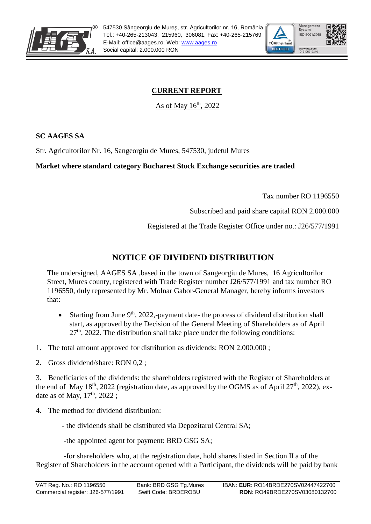



## **CURRENT REPORT**

As of May  $16<sup>th</sup>$ , 2022

**SC AAGES SA**

Str. Agricultorilor Nr. 16, Sangeorgiu de Mures, 547530, judetul Mures

## **Market where standard category Bucharest Stock Exchange securities are traded**

Tax number RO 1196550

Subscribed and paid share capital RON 2.000.000

Registered at the Trade Register Office under no.: J26/577/1991

## **NOTICE OF DIVIDEND DISTRIBUTION**

The undersigned, AAGES SA ,based in the town of Sangeorgiu de Mures, 16 Agricultorilor Street, Mures county, registered with Trade Register number J26/577/1991 and tax number RO 1196550, duly represented by Mr. Molnar Gabor-General Manager, hereby informs investors that:

- Starting from June  $9<sup>th</sup>$ , 2022,-payment date- the process of dividend distribution shall start, as approved by the Decision of the General Meeting of Shareholders as of April  $27<sup>th</sup>$ , 2022. The distribution shall take place under the following conditions:
- 1. The total amount approved for distribution as dividends: RON 2.000.000 ;
- 2. Gross dividend/share: RON 0,2 ;

3. Beneficiaries of the dividends: the shareholders registered with the Register of Shareholders at the end of May  $18<sup>th</sup>$ , 2022 (registration date, as approved by the OGMS as of April 27<sup>th</sup>, 2022), exdate as of May,  $17<sup>th</sup>$ ,  $2022$ ;

4. The method for dividend distribution:

- the dividends shall be distributed via Depozitarul Central SA;

-the appointed agent for payment: BRD GSG SA;

-for shareholders who, at the registration date, hold shares listed in Section II a of the Register of Shareholders in the account opened with a Participant, the dividends will be paid by bank